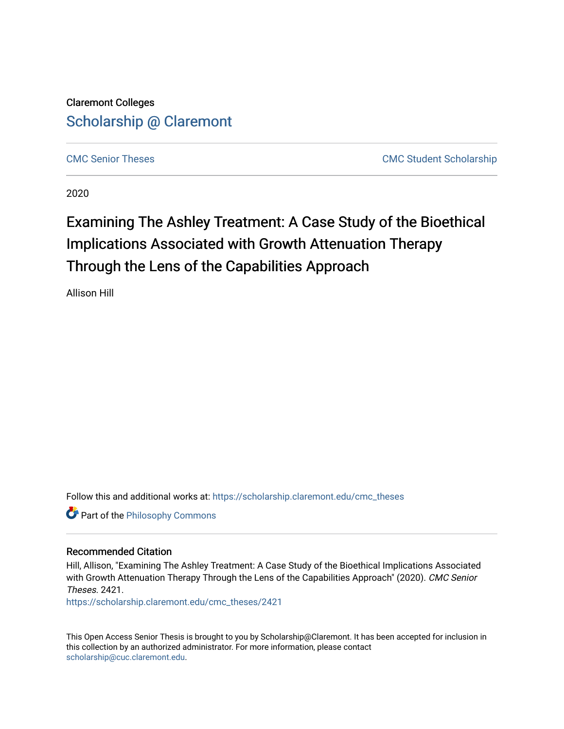Claremont Colleges [Scholarship @ Claremont](https://scholarship.claremont.edu/) 

[CMC Senior Theses](https://scholarship.claremont.edu/cmc_theses) [CMC Student Scholarship](https://scholarship.claremont.edu/cmc_student) 

2020

# Examining The Ashley Treatment: A Case Study of the Bioethical Implications Associated with Growth Attenuation Therapy Through the Lens of the Capabilities Approach

Allison Hill

Follow this and additional works at: [https://scholarship.claremont.edu/cmc\\_theses](https://scholarship.claremont.edu/cmc_theses?utm_source=scholarship.claremont.edu%2Fcmc_theses%2F2421&utm_medium=PDF&utm_campaign=PDFCoverPages) 

**Part of the Philosophy Commons** 

#### Recommended Citation

Hill, Allison, "Examining The Ashley Treatment: A Case Study of the Bioethical Implications Associated with Growth Attenuation Therapy Through the Lens of the Capabilities Approach" (2020). CMC Senior Theses. 2421.

[https://scholarship.claremont.edu/cmc\\_theses/2421](https://scholarship.claremont.edu/cmc_theses/2421?utm_source=scholarship.claremont.edu%2Fcmc_theses%2F2421&utm_medium=PDF&utm_campaign=PDFCoverPages) 

This Open Access Senior Thesis is brought to you by Scholarship@Claremont. It has been accepted for inclusion in this collection by an authorized administrator. For more information, please contact [scholarship@cuc.claremont.edu.](mailto:scholarship@cuc.claremont.edu)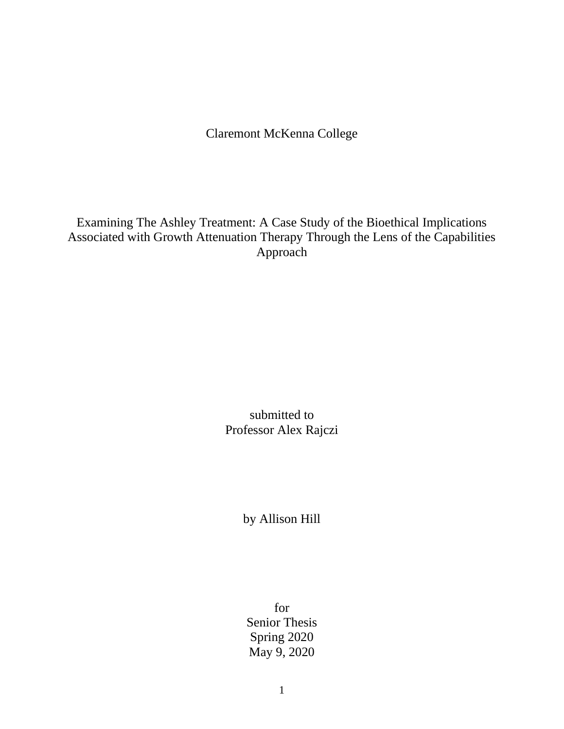Claremont McKenna College

Examining The Ashley Treatment: A Case Study of the Bioethical Implications Associated with Growth Attenuation Therapy Through the Lens of the Capabilities Approach

> submitted to Professor Alex Rajczi

> > by Allison Hill

for Senior Thesis Spring 2020 May 9, 2020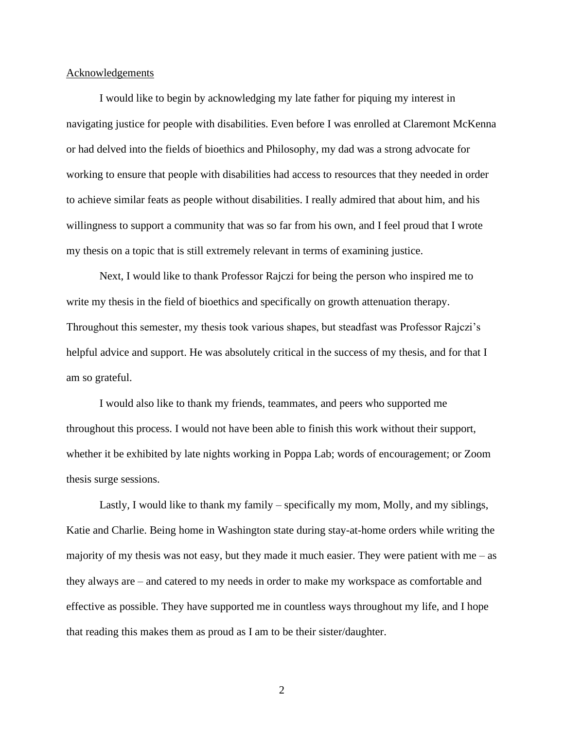#### **Acknowledgements**

I would like to begin by acknowledging my late father for piquing my interest in navigating justice for people with disabilities. Even before I was enrolled at Claremont McKenna or had delved into the fields of bioethics and Philosophy, my dad was a strong advocate for working to ensure that people with disabilities had access to resources that they needed in order to achieve similar feats as people without disabilities. I really admired that about him, and his willingness to support a community that was so far from his own, and I feel proud that I wrote my thesis on a topic that is still extremely relevant in terms of examining justice.

Next, I would like to thank Professor Rajczi for being the person who inspired me to write my thesis in the field of bioethics and specifically on growth attenuation therapy. Throughout this semester, my thesis took various shapes, but steadfast was Professor Rajczi's helpful advice and support. He was absolutely critical in the success of my thesis, and for that I am so grateful.

I would also like to thank my friends, teammates, and peers who supported me throughout this process. I would not have been able to finish this work without their support, whether it be exhibited by late nights working in Poppa Lab; words of encouragement; or Zoom thesis surge sessions.

Lastly, I would like to thank my family – specifically my mom, Molly, and my siblings, Katie and Charlie. Being home in Washington state during stay-at-home orders while writing the majority of my thesis was not easy, but they made it much easier. They were patient with me  $-$  as they always are – and catered to my needs in order to make my workspace as comfortable and effective as possible. They have supported me in countless ways throughout my life, and I hope that reading this makes them as proud as I am to be their sister/daughter.

2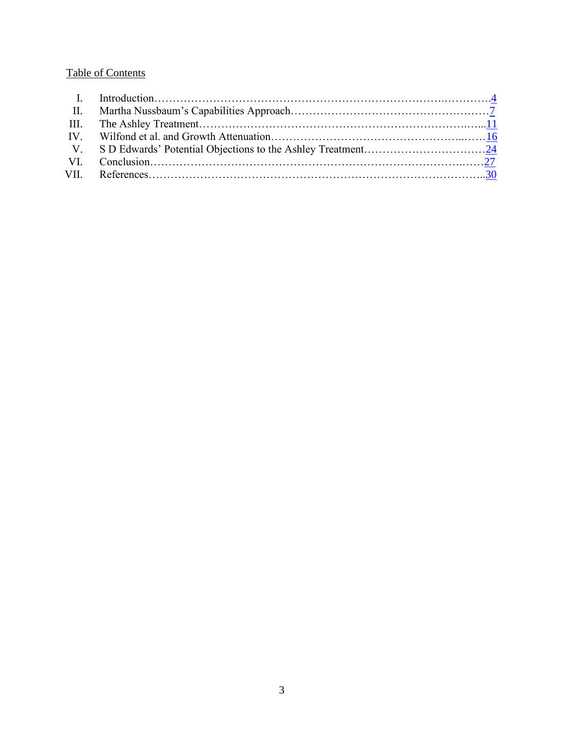# Table of Contents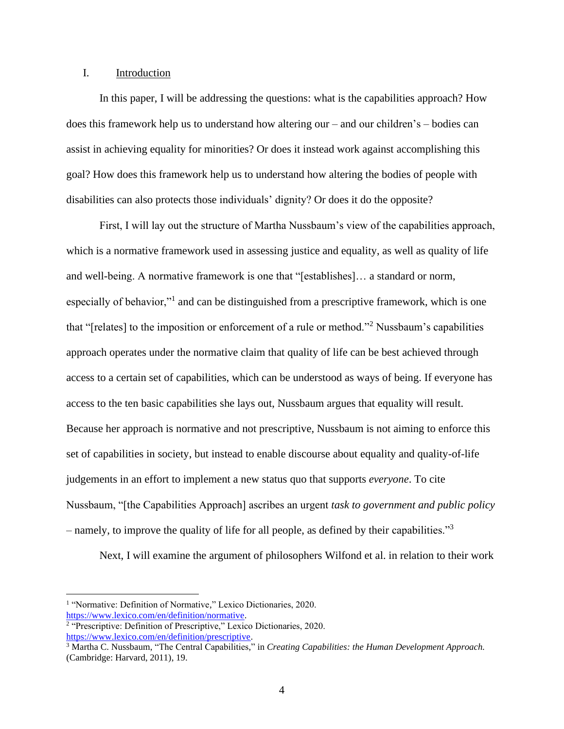## <span id="page-4-0"></span>I. Introduction

In this paper, I will be addressing the questions: what is the capabilities approach? How does this framework help us to understand how altering our – and our children's – bodies can assist in achieving equality for minorities? Or does it instead work against accomplishing this goal? How does this framework help us to understand how altering the bodies of people with disabilities can also protects those individuals' dignity? Or does it do the opposite?

First, I will lay out the structure of Martha Nussbaum's view of the capabilities approach, which is a normative framework used in assessing justice and equality, as well as quality of life and well-being. A normative framework is one that "[establishes]… a standard or norm, especially of behavior,"<sup>1</sup> and can be distinguished from a prescriptive framework, which is one that "[relates] to the imposition or enforcement of a rule or method."<sup>2</sup> Nussbaum's capabilities approach operates under the normative claim that quality of life can be best achieved through access to a certain set of capabilities, which can be understood as ways of being. If everyone has access to the ten basic capabilities she lays out, Nussbaum argues that equality will result. Because her approach is normative and not prescriptive, Nussbaum is not aiming to enforce this set of capabilities in society, but instead to enable discourse about equality and quality-of-life judgements in an effort to implement a new status quo that supports *everyone*. To cite Nussbaum, "[the Capabilities Approach] ascribes an urgent *task to government and public policy –* namely, to improve the quality of life for all people, as defined by their capabilities."<sup>3</sup>

Next, I will examine the argument of philosophers Wilfond et al. in relation to their work

<sup>&</sup>lt;sup>1</sup> "Normative: Definition of Normative," Lexico Dictionaries, 2020. [https://www.lexico.com/en/definition/normative.](https://www.lexico.com/en/definition/normative)

<sup>&</sup>lt;sup>2</sup> "Prescriptive: Definition of Prescriptive," Lexico Dictionaries, 2020. [https://www.lexico.com/en/definition/prescriptive.](https://www.lexico.com/en/definition/prescriptive)

<sup>3</sup> Martha C. Nussbaum, "The Central Capabilities," in *Creating Capabilities: the Human Development Approach.* (Cambridge: Harvard, 2011), 19.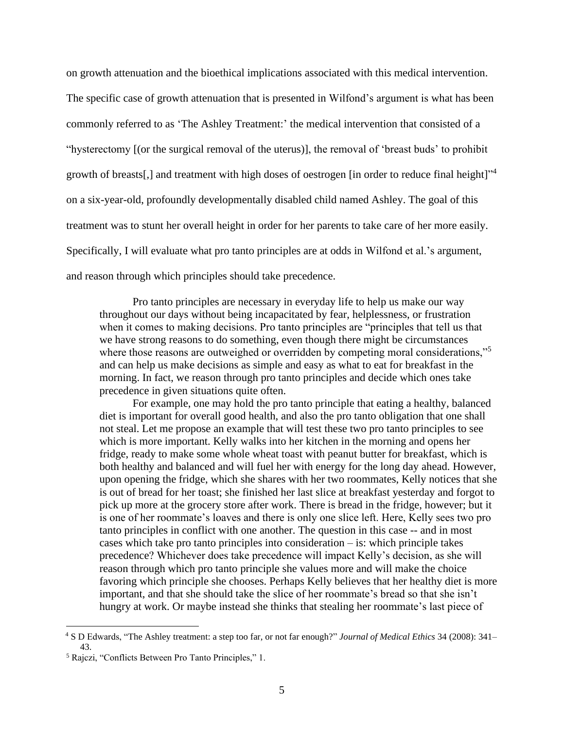on growth attenuation and the bioethical implications associated with this medical intervention. The specific case of growth attenuation that is presented in Wilfond's argument is what has been commonly referred to as 'The Ashley Treatment:' the medical intervention that consisted of a "hysterectomy [(or the surgical removal of the uterus)], the removal of 'breast buds' to prohibit growth of breasts[,] and treatment with high doses of oestrogen [in order to reduce final height]"<sup>4</sup> on a six-year-old, profoundly developmentally disabled child named Ashley. The goal of this treatment was to stunt her overall height in order for her parents to take care of her more easily. Specifically, I will evaluate what pro tanto principles are at odds in Wilfond et al.'s argument, and reason through which principles should take precedence.

Pro tanto principles are necessary in everyday life to help us make our way throughout our days without being incapacitated by fear, helplessness, or frustration when it comes to making decisions. Pro tanto principles are "principles that tell us that we have strong reasons to do something, even though there might be circumstances where those reasons are outweighed or overridden by competing moral considerations,"<sup>5</sup> and can help us make decisions as simple and easy as what to eat for breakfast in the morning. In fact, we reason through pro tanto principles and decide which ones take precedence in given situations quite often.

For example, one may hold the pro tanto principle that eating a healthy, balanced diet is important for overall good health, and also the pro tanto obligation that one shall not steal. Let me propose an example that will test these two pro tanto principles to see which is more important. Kelly walks into her kitchen in the morning and opens her fridge, ready to make some whole wheat toast with peanut butter for breakfast, which is both healthy and balanced and will fuel her with energy for the long day ahead. However, upon opening the fridge, which she shares with her two roommates, Kelly notices that she is out of bread for her toast; she finished her last slice at breakfast yesterday and forgot to pick up more at the grocery store after work. There is bread in the fridge, however; but it is one of her roommate's loaves and there is only one slice left. Here, Kelly sees two pro tanto principles in conflict with one another. The question in this case -- and in most cases which take pro tanto principles into consideration – is: which principle takes precedence? Whichever does take precedence will impact Kelly's decision, as she will reason through which pro tanto principle she values more and will make the choice favoring which principle she chooses. Perhaps Kelly believes that her healthy diet is more important, and that she should take the slice of her roommate's bread so that she isn't hungry at work. Or maybe instead she thinks that stealing her roommate's last piece of

<sup>4</sup> S D Edwards, "The Ashley treatment: a step too far, or not far enough?" *Journal of Medical Ethics* 34 (2008): 341– 43.

<sup>5</sup> Rajczi, "Conflicts Between Pro Tanto Principles," 1.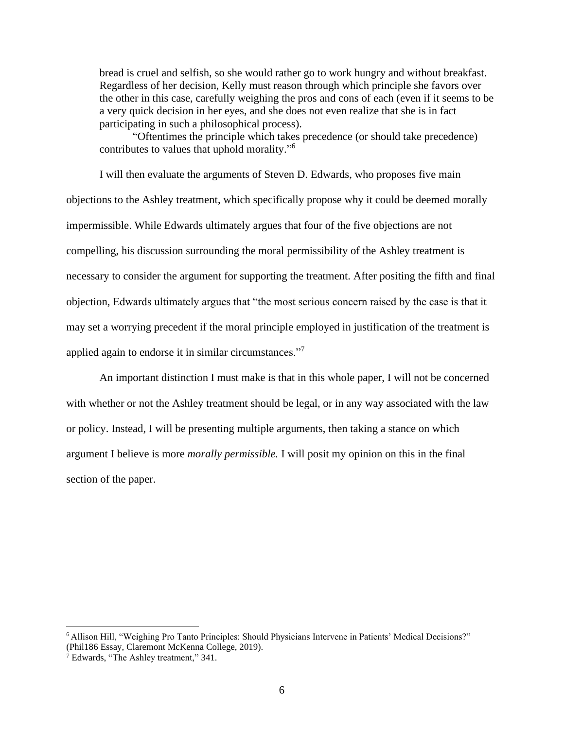bread is cruel and selfish, so she would rather go to work hungry and without breakfast. Regardless of her decision, Kelly must reason through which principle she favors over the other in this case, carefully weighing the pros and cons of each (even if it seems to be a very quick decision in her eyes, and she does not even realize that she is in fact participating in such a philosophical process).

"Oftentimes the principle which takes precedence (or should take precedence) contributes to values that uphold morality." 6

I will then evaluate the arguments of Steven D. Edwards, who proposes five main objections to the Ashley treatment, which specifically propose why it could be deemed morally impermissible. While Edwards ultimately argues that four of the five objections are not compelling, his discussion surrounding the moral permissibility of the Ashley treatment is necessary to consider the argument for supporting the treatment. After positing the fifth and final objection, Edwards ultimately argues that "the most serious concern raised by the case is that it may set a worrying precedent if the moral principle employed in justification of the treatment is applied again to endorse it in similar circumstances."<sup>7</sup>

An important distinction I must make is that in this whole paper, I will not be concerned with whether or not the Ashley treatment should be legal, or in any way associated with the law or policy. Instead, I will be presenting multiple arguments, then taking a stance on which argument I believe is more *morally permissible.* I will posit my opinion on this in the final section of the paper.

<sup>6</sup> Allison Hill, "Weighing Pro Tanto Principles: Should Physicians Intervene in Patients' Medical Decisions?" (Phil186 Essay, Claremont McKenna College, 2019).

<sup>7</sup> Edwards, "The Ashley treatment," 341.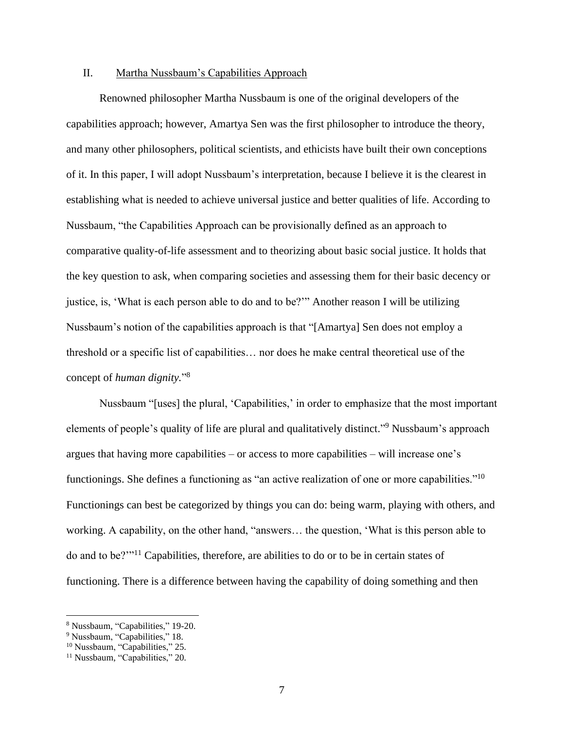#### <span id="page-7-0"></span>II. Martha Nussbaum's Capabilities Approach

Renowned philosopher Martha Nussbaum is one of the original developers of the capabilities approach; however, Amartya Sen was the first philosopher to introduce the theory, and many other philosophers, political scientists, and ethicists have built their own conceptions of it. In this paper, I will adopt Nussbaum's interpretation, because I believe it is the clearest in establishing what is needed to achieve universal justice and better qualities of life. According to Nussbaum, "the Capabilities Approach can be provisionally defined as an approach to comparative quality-of-life assessment and to theorizing about basic social justice. It holds that the key question to ask, when comparing societies and assessing them for their basic decency or justice, is, 'What is each person able to do and to be?'" Another reason I will be utilizing Nussbaum's notion of the capabilities approach is that "[Amartya] Sen does not employ a threshold or a specific list of capabilities… nor does he make central theoretical use of the concept of *human dignity.*" 8

Nussbaum "[uses] the plural, 'Capabilities,' in order to emphasize that the most important elements of people's quality of life are plural and qualitatively distinct."<sup>9</sup> Nussbaum's approach argues that having more capabilities – or access to more capabilities – will increase one's functionings. She defines a functioning as "an active realization of one or more capabilities."<sup>10</sup> Functionings can best be categorized by things you can do: being warm, playing with others, and working. A capability, on the other hand, "answers… the question, 'What is this person able to do and to be?'"<sup>11</sup> Capabilities, therefore, are abilities to do or to be in certain states of functioning. There is a difference between having the capability of doing something and then

<sup>8</sup> Nussbaum, "Capabilities," 19-20.

<sup>&</sup>lt;sup>9</sup> Nussbaum, "Capabilities," 18.

<sup>&</sup>lt;sup>10</sup> Nussbaum, "Capabilities," 25.

<sup>&</sup>lt;sup>11</sup> Nussbaum, "Capabilities," 20.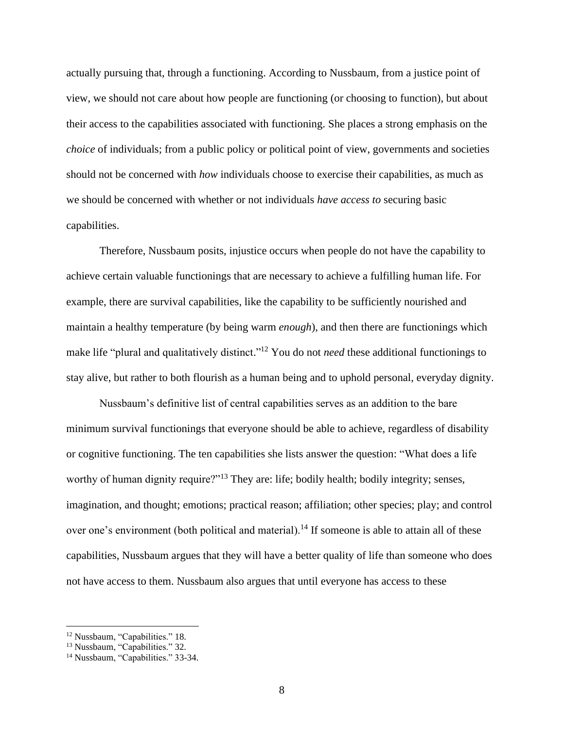actually pursuing that, through a functioning. According to Nussbaum, from a justice point of view, we should not care about how people are functioning (or choosing to function), but about their access to the capabilities associated with functioning. She places a strong emphasis on the *choice* of individuals; from a public policy or political point of view, governments and societies should not be concerned with *how* individuals choose to exercise their capabilities, as much as we should be concerned with whether or not individuals *have access to* securing basic capabilities.

Therefore, Nussbaum posits, injustice occurs when people do not have the capability to achieve certain valuable functionings that are necessary to achieve a fulfilling human life. For example, there are survival capabilities, like the capability to be sufficiently nourished and maintain a healthy temperature (by being warm *enough*), and then there are functionings which make life "plural and qualitatively distinct."<sup>12</sup> You do not *need* these additional functionings to stay alive, but rather to both flourish as a human being and to uphold personal, everyday dignity.

Nussbaum's definitive list of central capabilities serves as an addition to the bare minimum survival functionings that everyone should be able to achieve, regardless of disability or cognitive functioning. The ten capabilities she lists answer the question: "What does a life worthy of human dignity require?"<sup>13</sup> They are: life; bodily health; bodily integrity; senses, imagination, and thought; emotions; practical reason; affiliation; other species; play; and control over one's environment (both political and material).<sup>14</sup> If someone is able to attain all of these capabilities, Nussbaum argues that they will have a better quality of life than someone who does not have access to them. Nussbaum also argues that until everyone has access to these

<sup>12</sup> Nussbaum, "Capabilities." 18.

<sup>&</sup>lt;sup>13</sup> Nussbaum, "Capabilities." 32.

<sup>&</sup>lt;sup>14</sup> Nussbaum, "Capabilities." 33-34.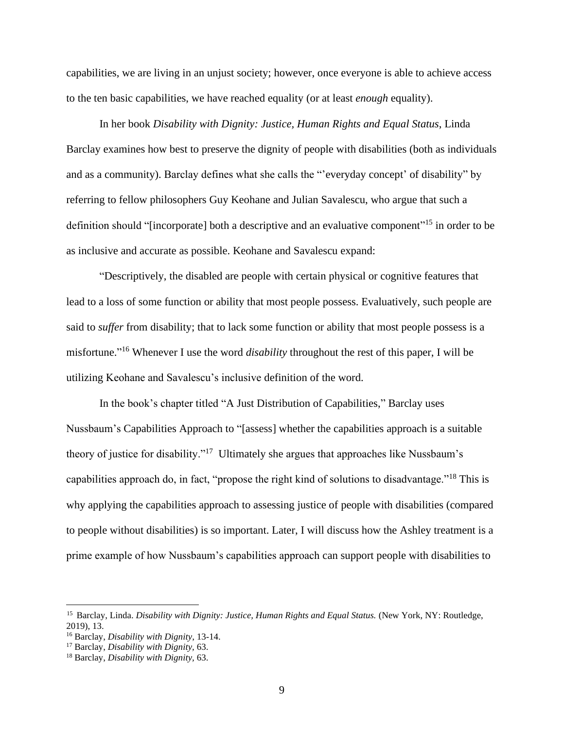capabilities, we are living in an unjust society; however, once everyone is able to achieve access to the ten basic capabilities, we have reached equality (or at least *enough* equality).

In her book *Disability with Dignity: Justice, Human Rights and Equal Status*, Linda Barclay examines how best to preserve the dignity of people with disabilities (both as individuals and as a community). Barclay defines what she calls the "'everyday concept' of disability" by referring to fellow philosophers Guy Keohane and Julian Savalescu, who argue that such a definition should "[incorporate] both a descriptive and an evaluative component"<sup>15</sup> in order to be as inclusive and accurate as possible. Keohane and Savalescu expand:

"Descriptively, the disabled are people with certain physical or cognitive features that lead to a loss of some function or ability that most people possess. Evaluatively, such people are said to *suffer* from disability; that to lack some function or ability that most people possess is a misfortune." <sup>16</sup> Whenever I use the word *disability* throughout the rest of this paper, I will be utilizing Keohane and Savalescu's inclusive definition of the word.

In the book's chapter titled "A Just Distribution of Capabilities," Barclay uses Nussbaum's Capabilities Approach to "[assess] whether the capabilities approach is a suitable theory of justice for disability."<sup>17</sup> Ultimately she argues that approaches like Nussbaum's capabilities approach do, in fact, "propose the right kind of solutions to disadvantage."<sup>18</sup> This is why applying the capabilities approach to assessing justice of people with disabilities (compared to people without disabilities) is so important. Later, I will discuss how the Ashley treatment is a prime example of how Nussbaum's capabilities approach can support people with disabilities to

<sup>15</sup> Barclay, Linda. *Disability with Dignity: Justice, Human Rights and Equal Status.* (New York, NY: Routledge, 2019), 13.

<sup>16</sup> Barclay, *Disability with Dignity*, 13-14.

<sup>17</sup> Barclay, *Disability with Dignity,* 63.

<sup>18</sup> Barclay, *Disability with Dignity,* 63.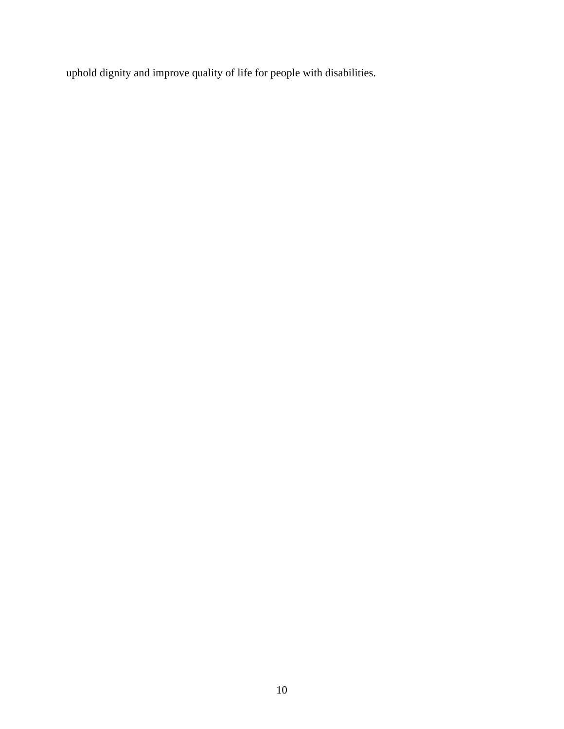uphold dignity and improve quality of life for people with disabilities.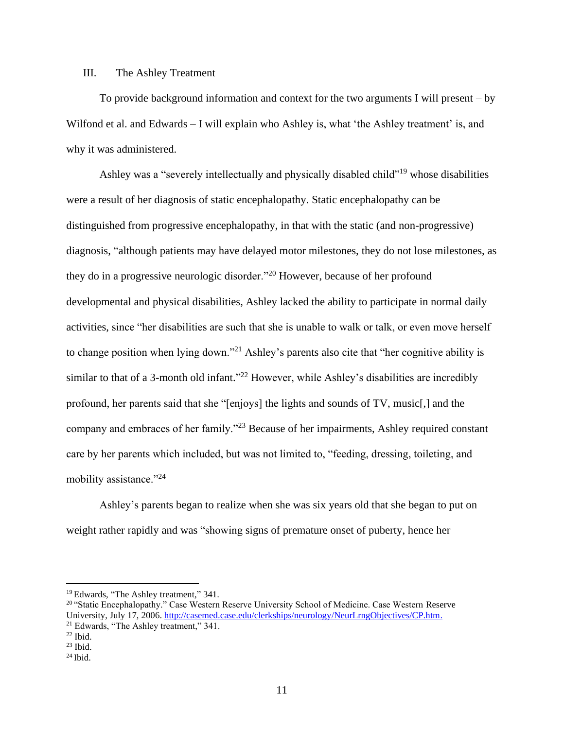#### <span id="page-11-0"></span>III. The Ashley Treatment

To provide background information and context for the two arguments I will present – by Wilfond et al. and Edwards – I will explain who Ashley is, what 'the Ashley treatment' is, and why it was administered.

Ashley was a "severely intellectually and physically disabled child"<sup>19</sup> whose disabilities were a result of her diagnosis of static encephalopathy. Static encephalopathy can be distinguished from progressive encephalopathy, in that with the static (and non-progressive) diagnosis, "although patients may have delayed motor milestones, they do not lose milestones, as they do in a progressive neurologic disorder."<sup>20</sup> However, because of her profound developmental and physical disabilities, Ashley lacked the ability to participate in normal daily activities, since "her disabilities are such that she is unable to walk or talk, or even move herself to change position when lying down."<sup>21</sup> Ashley's parents also cite that "her cognitive ability is similar to that of a 3-month old infant."<sup>22</sup> However, while Ashley's disabilities are incredibly profound, her parents said that she "[enjoys] the lights and sounds of TV, music[,] and the company and embraces of her family."<sup>23</sup> Because of her impairments, Ashley required constant care by her parents which included, but was not limited to, "feeding, dressing, toileting, and mobility assistance."<sup>24</sup>

Ashley's parents began to realize when she was six years old that she began to put on weight rather rapidly and was "showing signs of premature onset of puberty, hence her

<sup>19</sup> Edwards, "The Ashley treatment," 341.

<sup>&</sup>lt;sup>20</sup> "Static Encephalopathy." Case Western Reserve University School of Medicine. Case Western Reserve University, July 17, 2006[. http://casemed.case.edu/clerkships/neurology/NeurLrngObjectives/CP.htm.](http://casemed.case.edu/clerkships/neurology/NeurLrngObjectives/CP.htm) <sup>21</sup> Edwards, "The Ashley treatment," 341.

 $22$  Ibid.

 $23$  Ibid.

 $24$  Ibid.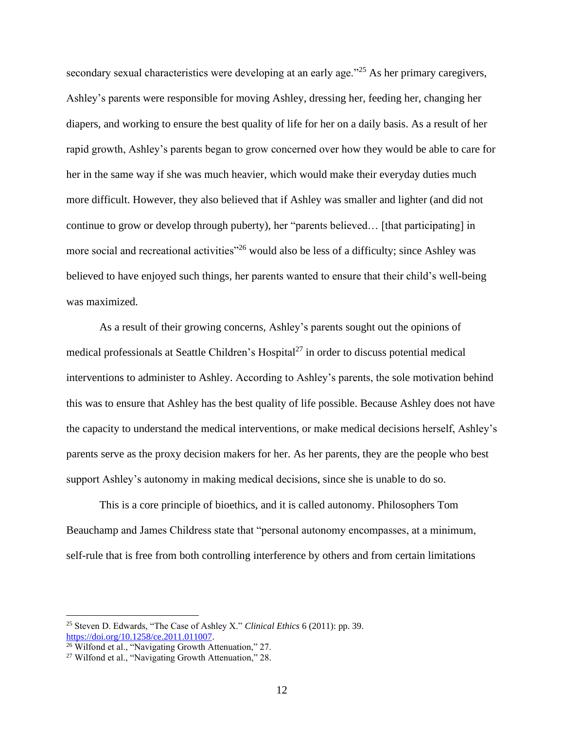secondary sexual characteristics were developing at an early age."<sup>25</sup> As her primary caregivers, Ashley's parents were responsible for moving Ashley, dressing her, feeding her, changing her diapers, and working to ensure the best quality of life for her on a daily basis. As a result of her rapid growth, Ashley's parents began to grow concerned over how they would be able to care for her in the same way if she was much heavier, which would make their everyday duties much more difficult. However, they also believed that if Ashley was smaller and lighter (and did not continue to grow or develop through puberty), her "parents believed… [that participating] in more social and recreational activities"<sup>26</sup> would also be less of a difficulty; since Ashley was believed to have enjoyed such things, her parents wanted to ensure that their child's well-being was maximized.

As a result of their growing concerns, Ashley's parents sought out the opinions of medical professionals at Seattle Children's Hospital<sup>27</sup> in order to discuss potential medical interventions to administer to Ashley. According to Ashley's parents, the sole motivation behind this was to ensure that Ashley has the best quality of life possible. Because Ashley does not have the capacity to understand the medical interventions, or make medical decisions herself, Ashley's parents serve as the proxy decision makers for her. As her parents, they are the people who best support Ashley's autonomy in making medical decisions, since she is unable to do so.

This is a core principle of bioethics, and it is called autonomy. Philosophers Tom Beauchamp and James Childress state that "personal autonomy encompasses, at a minimum, self-rule that is free from both controlling interference by others and from certain limitations

<sup>25</sup> Steven D. Edwards, "The Case of Ashley X." *Clinical Ethics* 6 (2011): pp. 39. https://doi.org/10.1258/ce.2011.011007.

<sup>&</sup>lt;sup>26</sup> Wilfond et al., "Navigating Growth Attenuation," 27.

<sup>27</sup> Wilfond et al., "Navigating Growth Attenuation," 28.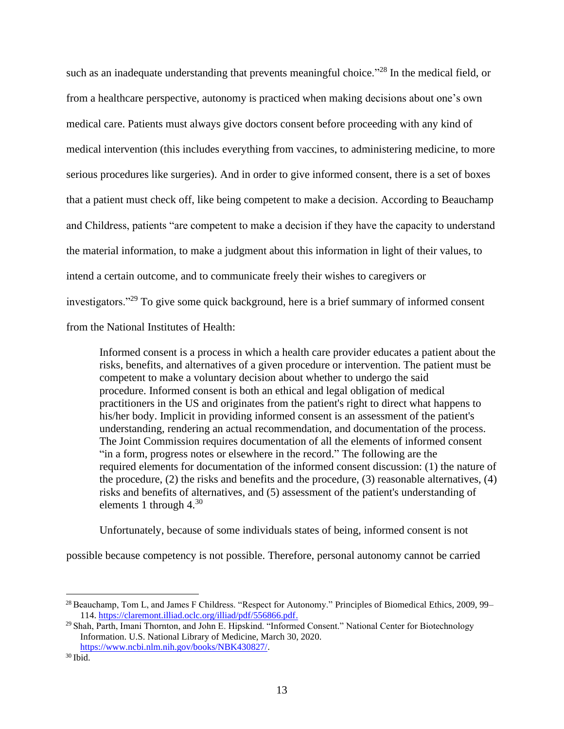such as an inadequate understanding that prevents meaningful choice."<sup>28</sup> In the medical field, or from a healthcare perspective, autonomy is practiced when making decisions about one's own medical care. Patients must always give doctors consent before proceeding with any kind of medical intervention (this includes everything from vaccines, to administering medicine, to more serious procedures like surgeries). And in order to give informed consent, there is a set of boxes that a patient must check off, like being competent to make a decision. According to Beauchamp and Childress, patients "are competent to make a decision if they have the capacity to understand the material information, to make a judgment about this information in light of their values, to intend a certain outcome, and to communicate freely their wishes to caregivers or investigators."<sup>29</sup> To give some quick background, here is a brief summary of informed consent from the National Institutes of Health:

Informed consent is a process in which a health care provider educates a patient about the risks, benefits, and alternatives of a given procedure or intervention. The patient must be competent to make a voluntary decision about whether to undergo the said procedure. Informed consent is both an ethical and legal obligation of medical practitioners in the US and originates from the patient's right to direct what happens to his/her body. Implicit in providing informed consent is an assessment of the patient's understanding, rendering an actual recommendation, and documentation of the process. The Joint Commission requires documentation of all the elements of informed consent "in a form, progress notes or elsewhere in the record." The following are the required elements for documentation of the informed consent discussion: (1) the nature of the procedure, (2) the risks and benefits and the procedure, (3) reasonable alternatives, (4) risks and benefits of alternatives, and (5) assessment of the patient's understanding of elements 1 through  $4^{30}$ 

Unfortunately, because of some individuals states of being, informed consent is not

possible because competency is not possible. Therefore, personal autonomy cannot be carried

<sup>&</sup>lt;sup>28</sup> Beauchamp, Tom L, and James F Childress. "Respect for Autonomy." Principles of Biomedical Ethics, 2009, 99– 114. [https://claremont.illiad.oclc.org/illiad/pdf/556866.pdf.](https://claremont.illiad.oclc.org/illiad/pdf/556866.pdf)

<sup>&</sup>lt;sup>29</sup> Shah, Parth, Imani Thornton, and John E. Hipskind. "Informed Consent." National Center for Biotechnology Information. U.S. National Library of Medicine, March 30, 2020. [https://www.ncbi.nlm.nih.gov/books/NBK430827/.](https://www.ncbi.nlm.nih.gov/books/NBK430827/)

<sup>30</sup> Ibid.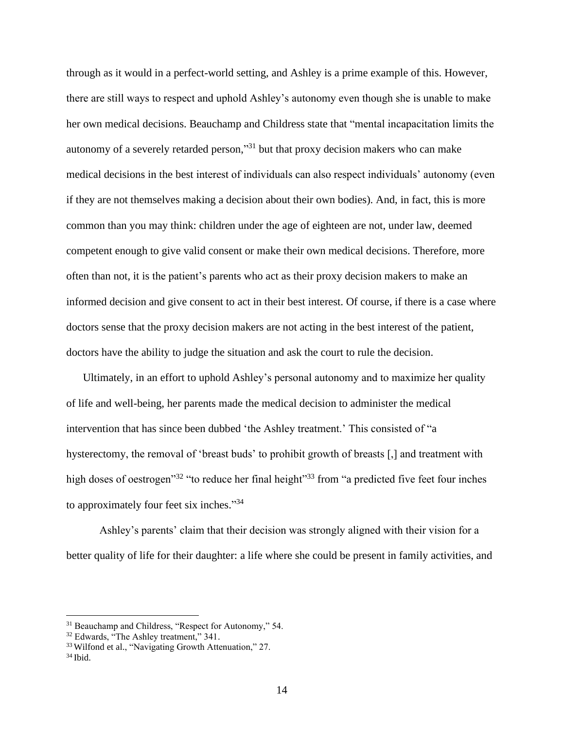through as it would in a perfect-world setting, and Ashley is a prime example of this. However, there are still ways to respect and uphold Ashley's autonomy even though she is unable to make her own medical decisions. Beauchamp and Childress state that "mental incapacitation limits the autonomy of a severely retarded person,"<sup>31</sup> but that proxy decision makers who can make medical decisions in the best interest of individuals can also respect individuals' autonomy (even if they are not themselves making a decision about their own bodies). And, in fact, this is more common than you may think: children under the age of eighteen are not, under law, deemed competent enough to give valid consent or make their own medical decisions. Therefore, more often than not, it is the patient's parents who act as their proxy decision makers to make an informed decision and give consent to act in their best interest. Of course, if there is a case where doctors sense that the proxy decision makers are not acting in the best interest of the patient, doctors have the ability to judge the situation and ask the court to rule the decision.

Ultimately, in an effort to uphold Ashley's personal autonomy and to maximize her quality of life and well-being, her parents made the medical decision to administer the medical intervention that has since been dubbed 'the Ashley treatment.' This consisted of "a hysterectomy, the removal of 'breast buds' to prohibit growth of breasts [,] and treatment with high doses of oestrogen<sup>"32</sup> "to reduce her final height"<sup>33</sup> from "a predicted five feet four inches to approximately four feet six inches."<sup>34</sup>

Ashley's parents' claim that their decision was strongly aligned with their vision for a better quality of life for their daughter: a life where she could be present in family activities, and

<sup>&</sup>lt;sup>31</sup> Beauchamp and Childress, "Respect for Autonomy," 54.

<sup>&</sup>lt;sup>32</sup> Edwards, "The Ashley treatment," 341.

<sup>&</sup>lt;sup>33</sup> Wilfond et al., "Navigating Growth Attenuation," 27.

<sup>34</sup> Ibid.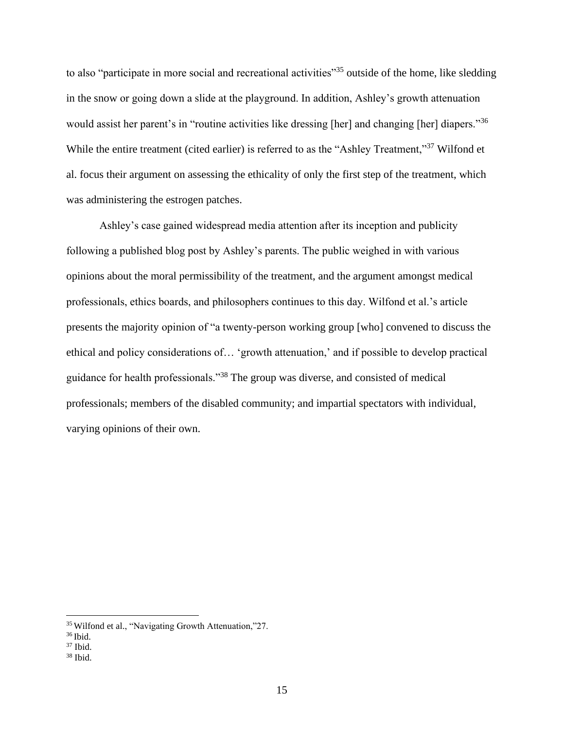to also "participate in more social and recreational activities"<sup>35</sup> outside of the home, like sledding in the snow or going down a slide at the playground. In addition, Ashley's growth attenuation would assist her parent's in "routine activities like dressing [her] and changing [her] diapers."<sup>36</sup> While the entire treatment (cited earlier) is referred to as the "Ashley Treatment,"<sup>37</sup> Wilfond et al. focus their argument on assessing the ethicality of only the first step of the treatment, which was administering the estrogen patches.

Ashley's case gained widespread media attention after its inception and publicity following a published blog post by Ashley's parents. The public weighed in with various opinions about the moral permissibility of the treatment, and the argument amongst medical professionals, ethics boards, and philosophers continues to this day. Wilfond et al.'s article presents the majority opinion of "a twenty-person working group [who] convened to discuss the ethical and policy considerations of… 'growth attenuation,' and if possible to develop practical guidance for health professionals."<sup>38</sup> The group was diverse, and consisted of medical professionals; members of the disabled community; and impartial spectators with individual, varying opinions of their own.

<sup>35</sup> Wilfond et al., "Navigating Growth Attenuation,"27.

<sup>36</sup> Ibid.

 $37$  Ibid.

 $38$  Ibid.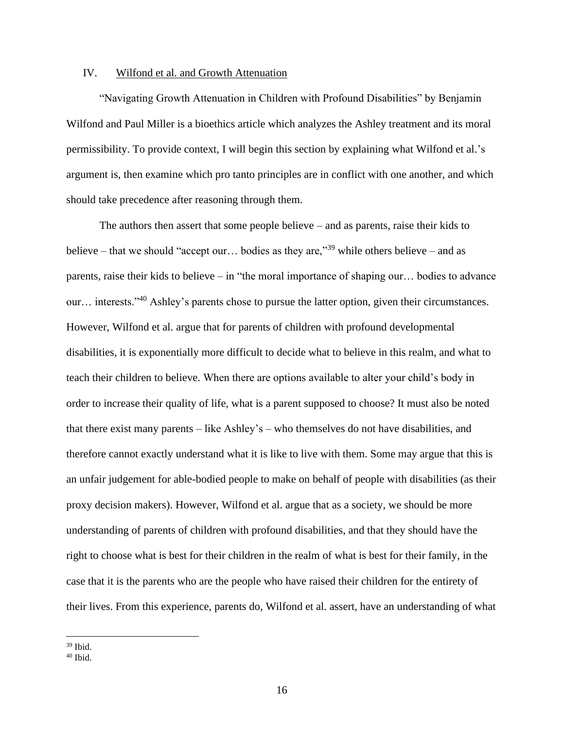#### <span id="page-16-0"></span>IV. Wilfond et al. and Growth Attenuation

"Navigating Growth Attenuation in Children with Profound Disabilities" by Benjamin Wilfond and Paul Miller is a bioethics article which analyzes the Ashley treatment and its moral permissibility. To provide context, I will begin this section by explaining what Wilfond et al.'s argument is, then examine which pro tanto principles are in conflict with one another, and which should take precedence after reasoning through them.

The authors then assert that some people believe – and as parents, raise their kids to believe – that we should "accept our... bodies as they are,"<sup>39</sup> while others believe – and as parents, raise their kids to believe – in "the moral importance of shaping our… bodies to advance our… interests."<sup>40</sup> Ashley's parents chose to pursue the latter option, given their circumstances. However, Wilfond et al. argue that for parents of children with profound developmental disabilities, it is exponentially more difficult to decide what to believe in this realm, and what to teach their children to believe. When there are options available to alter your child's body in order to increase their quality of life, what is a parent supposed to choose? It must also be noted that there exist many parents – like Ashley's – who themselves do not have disabilities, and therefore cannot exactly understand what it is like to live with them. Some may argue that this is an unfair judgement for able-bodied people to make on behalf of people with disabilities (as their proxy decision makers). However, Wilfond et al. argue that as a society, we should be more understanding of parents of children with profound disabilities, and that they should have the right to choose what is best for their children in the realm of what is best for their family, in the case that it is the parents who are the people who have raised their children for the entirety of their lives. From this experience, parents do, Wilfond et al. assert, have an understanding of what

 $39$  Ibid.

 $40$  Ibid.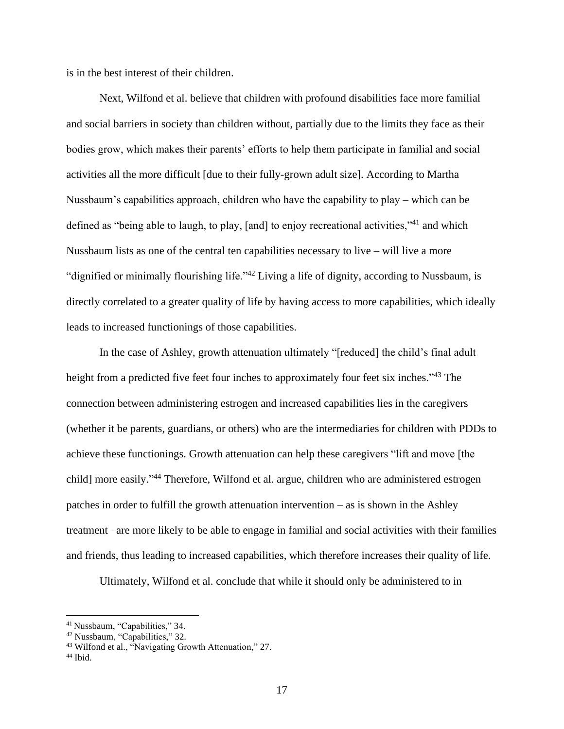is in the best interest of their children.

Next, Wilfond et al. believe that children with profound disabilities face more familial and social barriers in society than children without, partially due to the limits they face as their bodies grow, which makes their parents' efforts to help them participate in familial and social activities all the more difficult [due to their fully-grown adult size]. According to Martha Nussbaum's capabilities approach, children who have the capability to play – which can be defined as "being able to laugh, to play, [and] to enjoy recreational activities,"<sup>41</sup> and which Nussbaum lists as one of the central ten capabilities necessary to live – will live a more "dignified or minimally flourishing life."<sup>42</sup> Living a life of dignity, according to Nussbaum, is directly correlated to a greater quality of life by having access to more capabilities, which ideally leads to increased functionings of those capabilities.

In the case of Ashley, growth attenuation ultimately "[reduced] the child's final adult height from a predicted five feet four inches to approximately four feet six inches."<sup>43</sup> The connection between administering estrogen and increased capabilities lies in the caregivers (whether it be parents, guardians, or others) who are the intermediaries for children with PDDs to achieve these functionings. Growth attenuation can help these caregivers "lift and move [the child] more easily."<sup>44</sup> Therefore, Wilfond et al. argue, children who are administered estrogen patches in order to fulfill the growth attenuation intervention – as is shown in the Ashley treatment –are more likely to be able to engage in familial and social activities with their families and friends, thus leading to increased capabilities, which therefore increases their quality of life.

Ultimately, Wilfond et al. conclude that while it should only be administered to in

<sup>41</sup> Nussbaum, "Capabilities," 34.

<sup>42</sup> Nussbaum, "Capabilities," 32.

<sup>43</sup> Wilfond et al., "Navigating Growth Attenuation," 27.

 $44$  Ibid.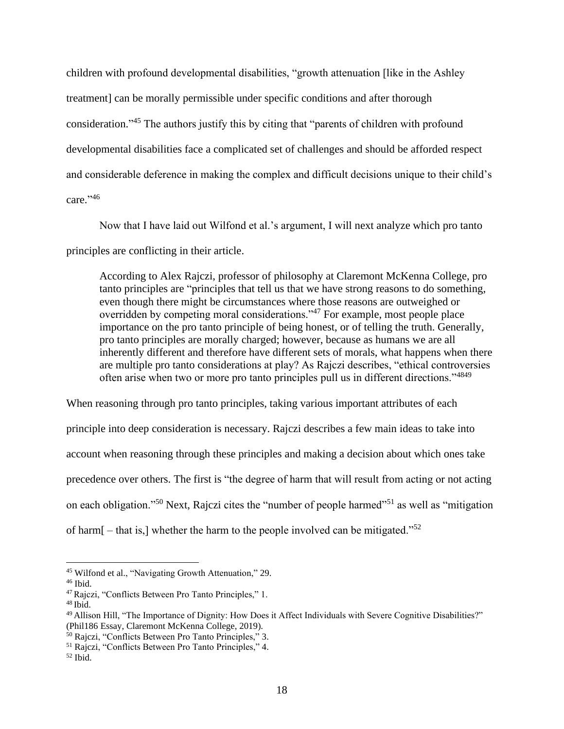children with profound developmental disabilities, "growth attenuation [like in the Ashley treatment] can be morally permissible under specific conditions and after thorough consideration."<sup>45</sup> The authors justify this by citing that "parents of children with profound developmental disabilities face a complicated set of challenges and should be afforded respect and considerable deference in making the complex and difficult decisions unique to their child's care." 46

Now that I have laid out Wilfond et al.'s argument, I will next analyze which pro tanto principles are conflicting in their article.

According to Alex Rajczi, professor of philosophy at Claremont McKenna College, pro tanto principles are "principles that tell us that we have strong reasons to do something, even though there might be circumstances where those reasons are outweighed or overridden by competing moral considerations."<sup>47</sup> For example, most people place importance on the pro tanto principle of being honest, or of telling the truth. Generally, pro tanto principles are morally charged; however, because as humans we are all inherently different and therefore have different sets of morals, what happens when there are multiple pro tanto considerations at play? As Rajczi describes, "ethical controversies often arise when two or more pro tanto principles pull us in different directions."<sup>4849</sup>

When reasoning through pro tanto principles, taking various important attributes of each principle into deep consideration is necessary. Rajczi describes a few main ideas to take into account when reasoning through these principles and making a decision about which ones take precedence over others. The first is "the degree of harm that will result from acting or not acting on each obligation."<sup>50</sup> Next, Rajczi cites the "number of people harmed"<sup>51</sup> as well as "mitigation" of harm $[-$  that is, whether the harm to the people involved can be mitigated."<sup>52</sup>

<sup>45</sup> Wilfond et al., "Navigating Growth Attenuation," 29.

 $46$  Ibid.

<sup>47</sup> Rajczi, "Conflicts Between Pro Tanto Principles," 1.

 $48$  Ibid.

<sup>49</sup> Allison Hill, "The Importance of Dignity: How Does it Affect Individuals with Severe Cognitive Disabilities?" (Phil186 Essay, Claremont McKenna College, 2019).

<sup>50</sup> Rajczi, "Conflicts Between Pro Tanto Principles," 3.

<sup>51</sup> Rajczi, "Conflicts Between Pro Tanto Principles," 4.

 $52$  Ibid.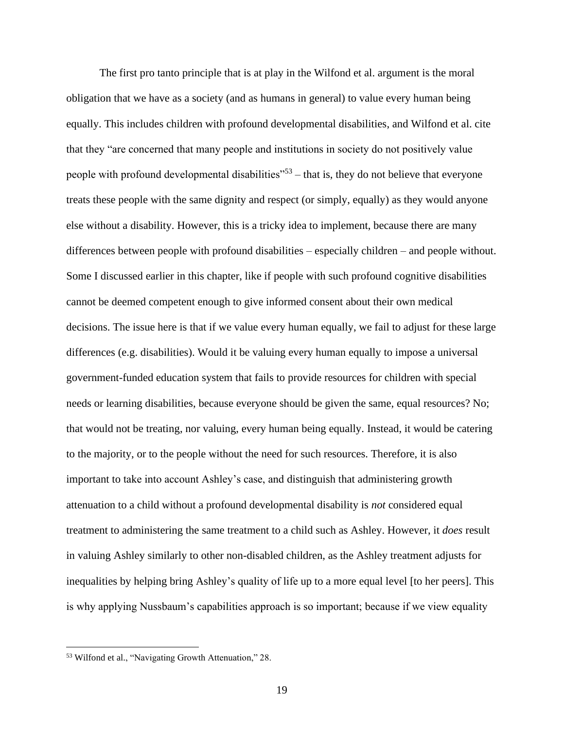The first pro tanto principle that is at play in the Wilfond et al. argument is the moral obligation that we have as a society (and as humans in general) to value every human being equally. This includes children with profound developmental disabilities, and Wilfond et al. cite that they "are concerned that many people and institutions in society do not positively value people with profound developmental disabilities<sup> $153$ </sup> – that is, they do not believe that everyone treats these people with the same dignity and respect (or simply, equally) as they would anyone else without a disability. However, this is a tricky idea to implement, because there are many differences between people with profound disabilities – especially children – and people without. Some I discussed earlier in this chapter, like if people with such profound cognitive disabilities cannot be deemed competent enough to give informed consent about their own medical decisions. The issue here is that if we value every human equally, we fail to adjust for these large differences (e.g. disabilities). Would it be valuing every human equally to impose a universal government-funded education system that fails to provide resources for children with special needs or learning disabilities, because everyone should be given the same, equal resources? No; that would not be treating, nor valuing, every human being equally. Instead, it would be catering to the majority, or to the people without the need for such resources. Therefore, it is also important to take into account Ashley's case, and distinguish that administering growth attenuation to a child without a profound developmental disability is *not* considered equal treatment to administering the same treatment to a child such as Ashley. However, it *does* result in valuing Ashley similarly to other non-disabled children, as the Ashley treatment adjusts for inequalities by helping bring Ashley's quality of life up to a more equal level [to her peers]. This is why applying Nussbaum's capabilities approach is so important; because if we view equality

<sup>53</sup> Wilfond et al., "Navigating Growth Attenuation," 28.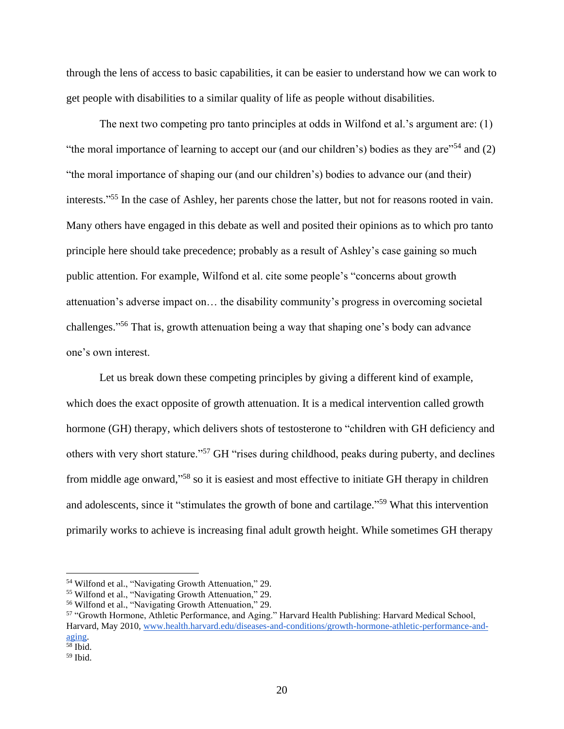through the lens of access to basic capabilities, it can be easier to understand how we can work to get people with disabilities to a similar quality of life as people without disabilities.

The next two competing pro tanto principles at odds in Wilfond et al.'s argument are: (1) "the moral importance of learning to accept our (and our children's) bodies as they are"<sup>54</sup> and (2) "the moral importance of shaping our (and our children's) bodies to advance our (and their) interests." <sup>55</sup> In the case of Ashley, her parents chose the latter, but not for reasons rooted in vain. Many others have engaged in this debate as well and posited their opinions as to which pro tanto principle here should take precedence; probably as a result of Ashley's case gaining so much public attention. For example, Wilfond et al. cite some people's "concerns about growth attenuation's adverse impact on… the disability community's progress in overcoming societal challenges." <sup>56</sup> That is, growth attenuation being a way that shaping one's body can advance one's own interest.

Let us break down these competing principles by giving a different kind of example, which does the exact opposite of growth attenuation. It is a medical intervention called growth hormone (GH) therapy, which delivers shots of testosterone to "children with GH deficiency and others with very short stature."<sup>57</sup> GH "rises during childhood, peaks during puberty, and declines from middle age onward,"<sup>58</sup> so it is easiest and most effective to initiate GH therapy in children and adolescents, since it "stimulates the growth of bone and cartilage."<sup>59</sup> What this intervention primarily works to achieve is increasing final adult growth height. While sometimes GH therapy

<sup>54</sup> Wilfond et al., "Navigating Growth Attenuation," 29.

<sup>55</sup> Wilfond et al., "Navigating Growth Attenuation," 29.

<sup>56</sup> Wilfond et al., "Navigating Growth Attenuation," 29.

<sup>57</sup> "Growth Hormone, Athletic Performance, and Aging." Harvard Health Publishing: Harvard Medical School, Harvard, May 2010[, www.health.harvard.edu/diseases-and-conditions/growth-hormone-athletic-performance-and](http://www.health.harvard.edu/diseases-and-conditions/growth-hormone-athletic-performance-and-aging)[aging.](http://www.health.harvard.edu/diseases-and-conditions/growth-hormone-athletic-performance-and-aging) <sup>58</sup> Ibid.

<sup>59</sup> Ibid.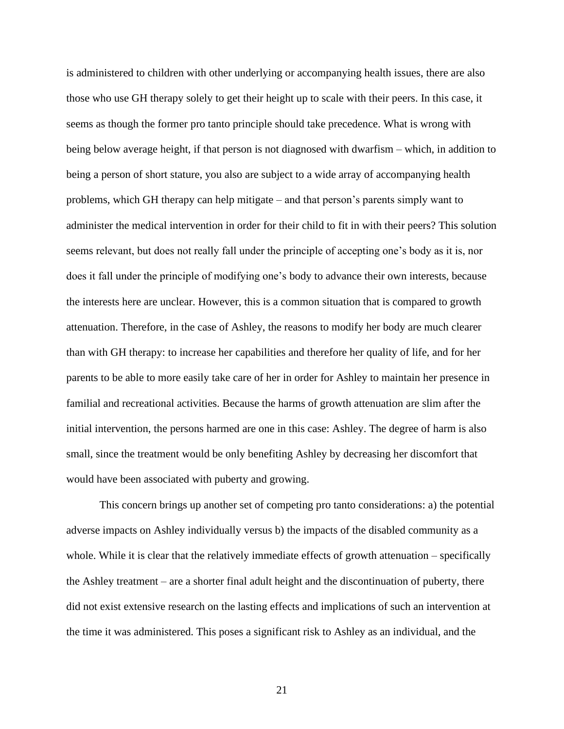is administered to children with other underlying or accompanying health issues, there are also those who use GH therapy solely to get their height up to scale with their peers. In this case, it seems as though the former pro tanto principle should take precedence. What is wrong with being below average height, if that person is not diagnosed with dwarfism – which, in addition to being a person of short stature, you also are subject to a wide array of accompanying health problems, which GH therapy can help mitigate – and that person's parents simply want to administer the medical intervention in order for their child to fit in with their peers? This solution seems relevant, but does not really fall under the principle of accepting one's body as it is, nor does it fall under the principle of modifying one's body to advance their own interests, because the interests here are unclear. However, this is a common situation that is compared to growth attenuation. Therefore, in the case of Ashley, the reasons to modify her body are much clearer than with GH therapy: to increase her capabilities and therefore her quality of life, and for her parents to be able to more easily take care of her in order for Ashley to maintain her presence in familial and recreational activities. Because the harms of growth attenuation are slim after the initial intervention, the persons harmed are one in this case: Ashley. The degree of harm is also small, since the treatment would be only benefiting Ashley by decreasing her discomfort that would have been associated with puberty and growing.

This concern brings up another set of competing pro tanto considerations: a) the potential adverse impacts on Ashley individually versus b) the impacts of the disabled community as a whole. While it is clear that the relatively immediate effects of growth attenuation – specifically the Ashley treatment – are a shorter final adult height and the discontinuation of puberty, there did not exist extensive research on the lasting effects and implications of such an intervention at the time it was administered. This poses a significant risk to Ashley as an individual, and the

21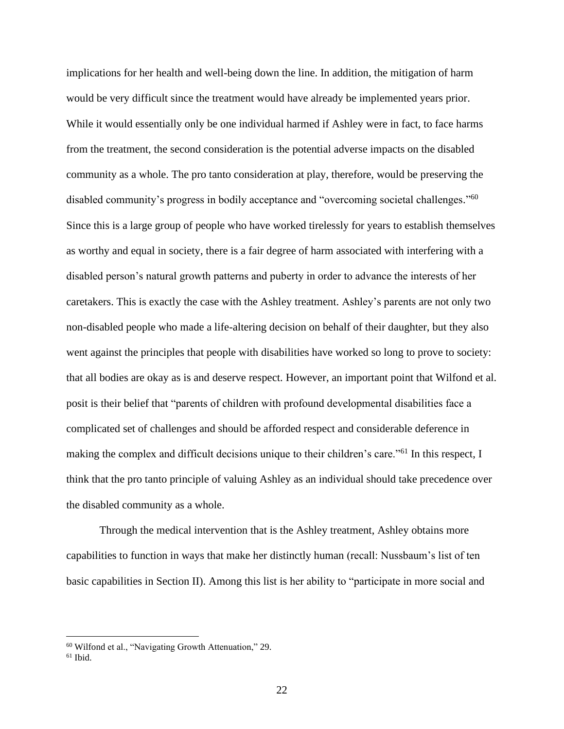implications for her health and well-being down the line. In addition, the mitigation of harm would be very difficult since the treatment would have already be implemented years prior. While it would essentially only be one individual harmed if Ashley were in fact, to face harms from the treatment, the second consideration is the potential adverse impacts on the disabled community as a whole. The pro tanto consideration at play, therefore, would be preserving the disabled community's progress in bodily acceptance and "overcoming societal challenges."<sup>60</sup> Since this is a large group of people who have worked tirelessly for years to establish themselves as worthy and equal in society, there is a fair degree of harm associated with interfering with a disabled person's natural growth patterns and puberty in order to advance the interests of her caretakers. This is exactly the case with the Ashley treatment. Ashley's parents are not only two non-disabled people who made a life-altering decision on behalf of their daughter, but they also went against the principles that people with disabilities have worked so long to prove to society: that all bodies are okay as is and deserve respect. However, an important point that Wilfond et al. posit is their belief that "parents of children with profound developmental disabilities face a complicated set of challenges and should be afforded respect and considerable deference in making the complex and difficult decisions unique to their children's care."<sup>61</sup> In this respect, I think that the pro tanto principle of valuing Ashley as an individual should take precedence over the disabled community as a whole.

Through the medical intervention that is the Ashley treatment, Ashley obtains more capabilities to function in ways that make her distinctly human (recall: Nussbaum's list of ten basic capabilities in Section II). Among this list is her ability to "participate in more social and

<sup>60</sup> Wilfond et al., "Navigating Growth Attenuation," 29.

 $61$  Ibid.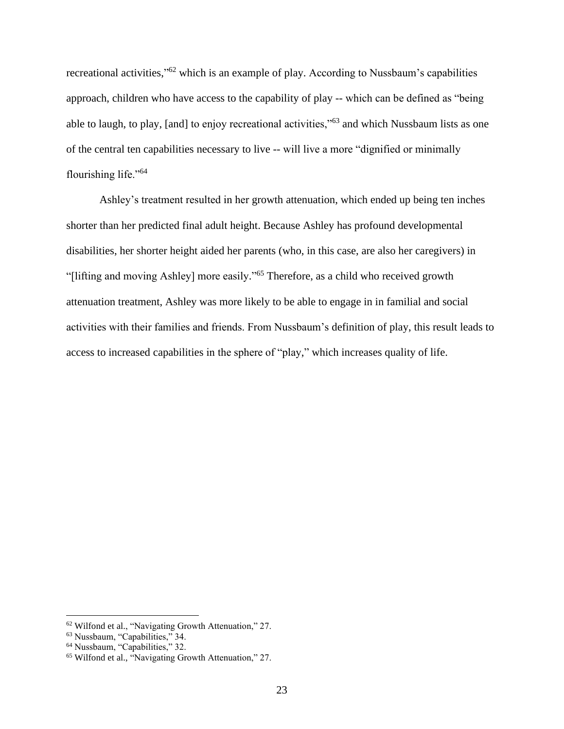recreational activities,"<sup>62</sup> which is an example of play. According to Nussbaum's capabilities approach, children who have access to the capability of play -- which can be defined as "being able to laugh, to play, [and] to enjoy recreational activities,"<sup>63</sup> and which Nussbaum lists as one of the central ten capabilities necessary to live -- will live a more "dignified or minimally flourishing life."<sup>64</sup>

Ashley's treatment resulted in her growth attenuation, which ended up being ten inches shorter than her predicted final adult height. Because Ashley has profound developmental disabilities, her shorter height aided her parents (who, in this case, are also her caregivers) in "[lifting and moving Ashley] more easily."<sup>65</sup> Therefore, as a child who received growth attenuation treatment, Ashley was more likely to be able to engage in in familial and social activities with their families and friends. From Nussbaum's definition of play, this result leads to access to increased capabilities in the sphere of "play," which increases quality of life.

<sup>62</sup> Wilfond et al., "Navigating Growth Attenuation," 27.

<sup>63</sup> Nussbaum, "Capabilities," 34.

<sup>&</sup>lt;sup>64</sup> Nussbaum, "Capabilities," 32.

<sup>65</sup> Wilfond et al., "Navigating Growth Attenuation," 27.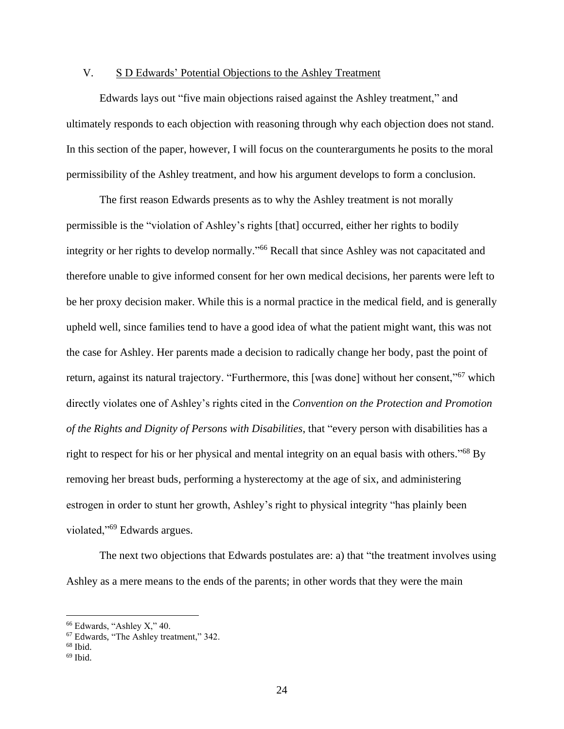# <span id="page-24-0"></span>V. S D Edwards' Potential Objections to the Ashley Treatment

Edwards lays out "five main objections raised against the Ashley treatment," and ultimately responds to each objection with reasoning through why each objection does not stand. In this section of the paper, however, I will focus on the counterarguments he posits to the moral permissibility of the Ashley treatment, and how his argument develops to form a conclusion.

The first reason Edwards presents as to why the Ashley treatment is not morally permissible is the "violation of Ashley's rights [that] occurred, either her rights to bodily integrity or her rights to develop normally." <sup>66</sup> Recall that since Ashley was not capacitated and therefore unable to give informed consent for her own medical decisions, her parents were left to be her proxy decision maker. While this is a normal practice in the medical field, and is generally upheld well, since families tend to have a good idea of what the patient might want, this was not the case for Ashley. Her parents made a decision to radically change her body, past the point of return, against its natural trajectory. "Furthermore, this [was done] without her consent,"<sup>67</sup> which directly violates one of Ashley's rights cited in the *Convention on the Protection and Promotion of the Rights and Dignity of Persons with Disabilities*, that "every person with disabilities has a right to respect for his or her physical and mental integrity on an equal basis with others."<sup>68</sup> By removing her breast buds, performing a hysterectomy at the age of six, and administering estrogen in order to stunt her growth, Ashley's right to physical integrity "has plainly been violated,"<sup>69</sup> Edwards argues.

The next two objections that Edwards postulates are: a) that "the treatment involves using Ashley as a mere means to the ends of the parents; in other words that they were the main

<sup>66</sup> Edwards, "Ashley X," 40.

<sup>67</sup> Edwards, "The Ashley treatment," 342.

 $68$  Ibid.

 $69$  Ibid.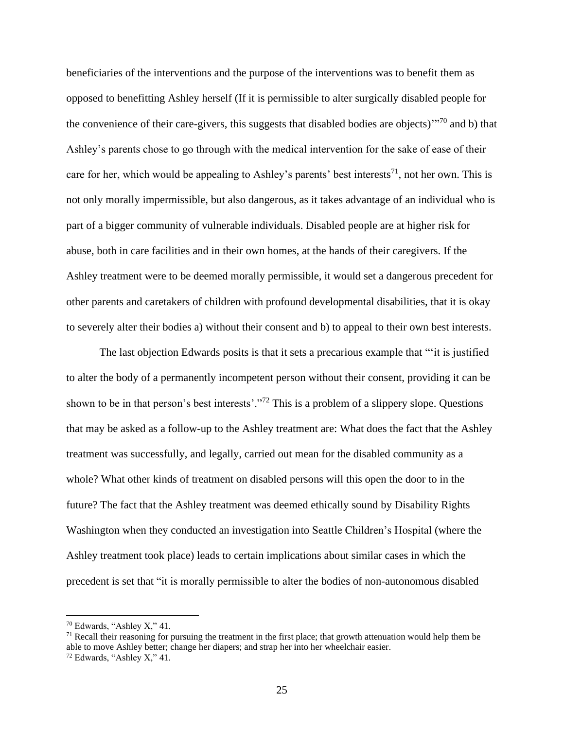beneficiaries of the interventions and the purpose of the interventions was to benefit them as opposed to benefitting Ashley herself (If it is permissible to alter surgically disabled people for the convenience of their care-givers, this suggests that disabled bodies are objects)"<sup>70</sup> and b) that Ashley's parents chose to go through with the medical intervention for the sake of ease of their care for her, which would be appealing to Ashley's parents' best interests<sup>71</sup>, not her own. This is not only morally impermissible, but also dangerous, as it takes advantage of an individual who is part of a bigger community of vulnerable individuals. Disabled people are at higher risk for abuse, both in care facilities and in their own homes, at the hands of their caregivers. If the Ashley treatment were to be deemed morally permissible, it would set a dangerous precedent for other parents and caretakers of children with profound developmental disabilities, that it is okay to severely alter their bodies a) without their consent and b) to appeal to their own best interests.

The last objection Edwards posits is that it sets a precarious example that "'it is justified to alter the body of a permanently incompetent person without their consent, providing it can be shown to be in that person's best interests'."<sup>72</sup> This is a problem of a slippery slope. Questions that may be asked as a follow-up to the Ashley treatment are: What does the fact that the Ashley treatment was successfully, and legally, carried out mean for the disabled community as a whole? What other kinds of treatment on disabled persons will this open the door to in the future? The fact that the Ashley treatment was deemed ethically sound by Disability Rights Washington when they conducted an investigation into Seattle Children's Hospital (where the Ashley treatment took place) leads to certain implications about similar cases in which the precedent is set that "it is morally permissible to alter the bodies of non-autonomous disabled

<sup>70</sup> Edwards, "Ashley X," 41.

 $71$  Recall their reasoning for pursuing the treatment in the first place; that growth attenuation would help them be able to move Ashley better; change her diapers; and strap her into her wheelchair easier.

<sup>72</sup> Edwards, "Ashley X," 41.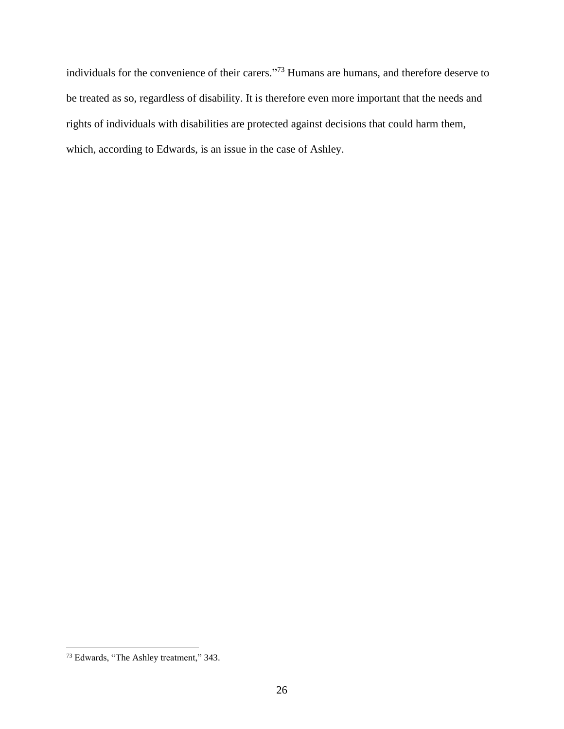individuals for the convenience of their carers." <sup>73</sup> Humans are humans, and therefore deserve to be treated as so, regardless of disability. It is therefore even more important that the needs and rights of individuals with disabilities are protected against decisions that could harm them, which, according to Edwards, is an issue in the case of Ashley.

<sup>73</sup> Edwards, "The Ashley treatment," 343.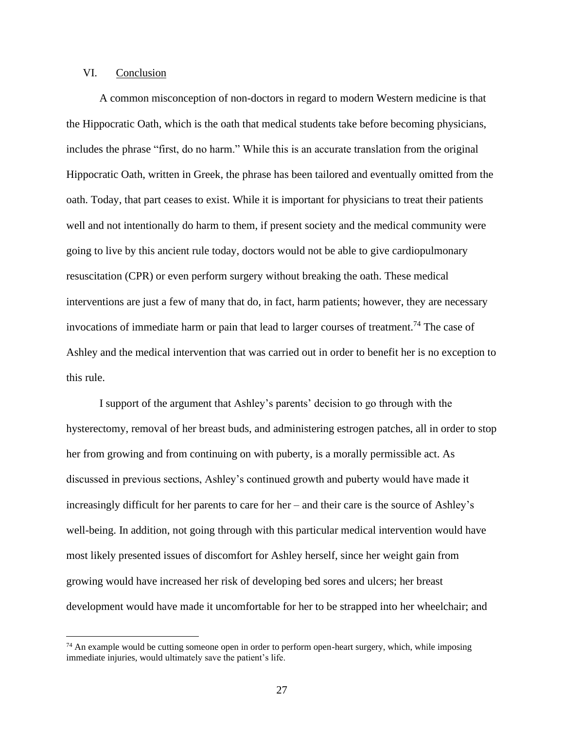### <span id="page-27-0"></span>VI. Conclusion

A common misconception of non-doctors in regard to modern Western medicine is that the Hippocratic Oath, which is the oath that medical students take before becoming physicians, includes the phrase "first, do no harm." While this is an accurate translation from the original Hippocratic Oath, written in Greek, the phrase has been tailored and eventually omitted from the oath. Today, that part ceases to exist. While it is important for physicians to treat their patients well and not intentionally do harm to them, if present society and the medical community were going to live by this ancient rule today, doctors would not be able to give cardiopulmonary resuscitation (CPR) or even perform surgery without breaking the oath. These medical interventions are just a few of many that do, in fact, harm patients; however, they are necessary invocations of immediate harm or pain that lead to larger courses of treatment.<sup>74</sup> The case of Ashley and the medical intervention that was carried out in order to benefit her is no exception to this rule.

I support of the argument that Ashley's parents' decision to go through with the hysterectomy, removal of her breast buds, and administering estrogen patches, all in order to stop her from growing and from continuing on with puberty, is a morally permissible act. As discussed in previous sections, Ashley's continued growth and puberty would have made it increasingly difficult for her parents to care for her – and their care is the source of Ashley's well-being. In addition, not going through with this particular medical intervention would have most likely presented issues of discomfort for Ashley herself, since her weight gain from growing would have increased her risk of developing bed sores and ulcers; her breast development would have made it uncomfortable for her to be strapped into her wheelchair; and

 $74$  An example would be cutting someone open in order to perform open-heart surgery, which, while imposing immediate injuries, would ultimately save the patient's life.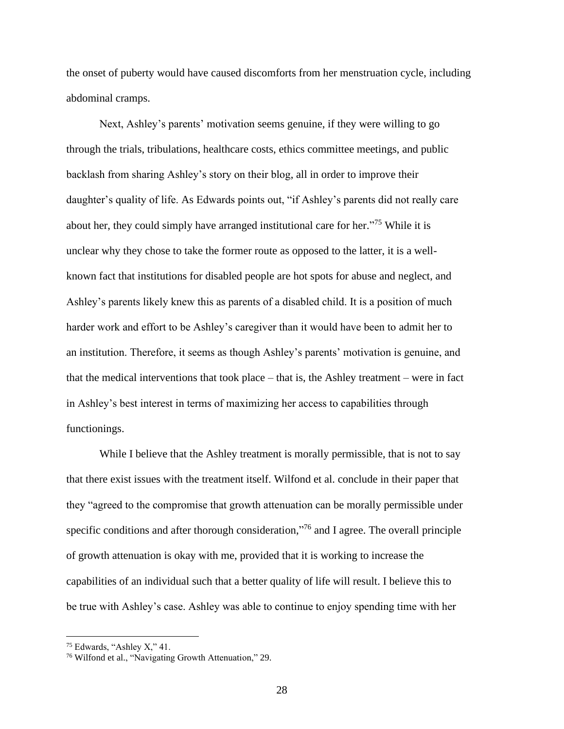the onset of puberty would have caused discomforts from her menstruation cycle, including abdominal cramps.

Next, Ashley's parents' motivation seems genuine, if they were willing to go through the trials, tribulations, healthcare costs, ethics committee meetings, and public backlash from sharing Ashley's story on their blog, all in order to improve their daughter's quality of life. As Edwards points out, "if Ashley's parents did not really care about her, they could simply have arranged institutional care for her."<sup>75</sup> While it is unclear why they chose to take the former route as opposed to the latter, it is a wellknown fact that institutions for disabled people are hot spots for abuse and neglect, and Ashley's parents likely knew this as parents of a disabled child. It is a position of much harder work and effort to be Ashley's caregiver than it would have been to admit her to an institution. Therefore, it seems as though Ashley's parents' motivation is genuine, and that the medical interventions that took place – that is, the Ashley treatment – were in fact in Ashley's best interest in terms of maximizing her access to capabilities through functionings.

While I believe that the Ashley treatment is morally permissible, that is not to say that there exist issues with the treatment itself. Wilfond et al. conclude in their paper that they "agreed to the compromise that growth attenuation can be morally permissible under specific conditions and after thorough consideration,"<sup>76</sup> and I agree. The overall principle of growth attenuation is okay with me, provided that it is working to increase the capabilities of an individual such that a better quality of life will result. I believe this to be true with Ashley's case. Ashley was able to continue to enjoy spending time with her

<sup>75</sup> Edwards, "Ashley X," 41.

<sup>76</sup> Wilfond et al., "Navigating Growth Attenuation," 29.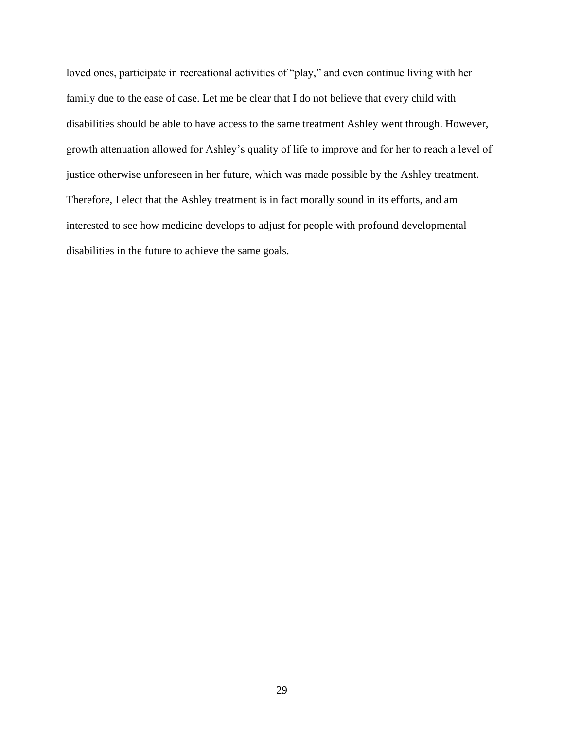loved ones, participate in recreational activities of "play," and even continue living with her family due to the ease of case. Let me be clear that I do not believe that every child with disabilities should be able to have access to the same treatment Ashley went through. However, growth attenuation allowed for Ashley's quality of life to improve and for her to reach a level of justice otherwise unforeseen in her future, which was made possible by the Ashley treatment. Therefore, I elect that the Ashley treatment is in fact morally sound in its efforts, and am interested to see how medicine develops to adjust for people with profound developmental disabilities in the future to achieve the same goals.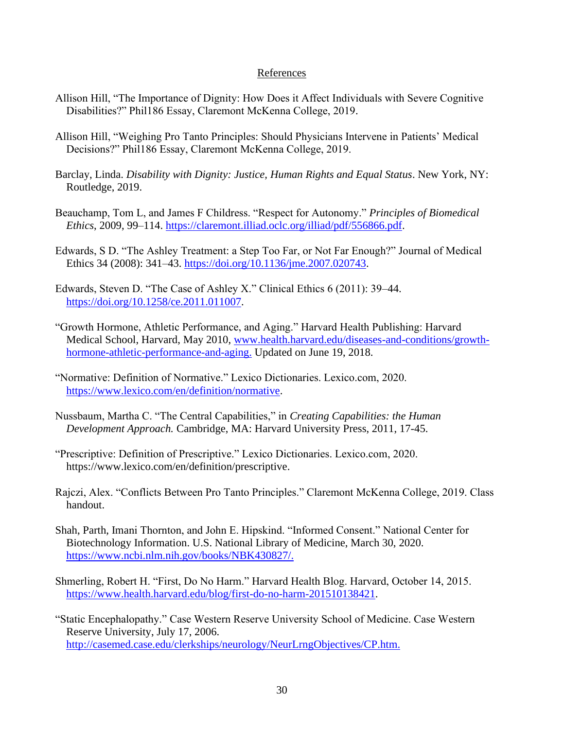## References

- <span id="page-30-0"></span>Allison Hill, "The Importance of Dignity: How Does it Affect Individuals with Severe Cognitive Disabilities?" Phil186 Essay, Claremont McKenna College, 2019.
- Allison Hill, "Weighing Pro Tanto Principles: Should Physicians Intervene in Patients' Medical Decisions?" Phil186 Essay, Claremont McKenna College, 2019.
- Barclay, Linda. *Disability with Dignity: Justice, Human Rights and Equal Status*. New York, NY: Routledge, 2019.
- Beauchamp, Tom L, and James F Childress. "Respect for Autonomy." *Principles of Biomedical Ethics*, 2009, 99–114. [https://claremont.illiad.oclc.org/illiad/pdf/556866.pdf.](https://claremont.illiad.oclc.org/illiad/pdf/556866.pdf)
- Edwards, S D. "The Ashley Treatment: a Step Too Far, or Not Far Enough?" Journal of Medical Ethics 34 (2008): 341–43. [https://doi.org/10.1136/jme.2007.020743.](https://doi.org/10.1136/jme.2007.020743)
- Edwards, Steven D. "The Case of Ashley X." Clinical Ethics 6 (2011): 39–44. [https://doi.org/10.1258/ce.2011.011007.](https://doi.org/10.1258/ce.2011.011007)
- "Growth Hormone, Athletic Performance, and Aging." Harvard Health Publishing: Harvard Medical School, Harvard, May 2010, [www.health.harvard.edu/diseases-and-conditions/growth](http://www.health.harvard.edu/diseases-and-conditions/growth-hormone-athletic-performance-and-aging)[hormone-athletic-performance-and-aging.](http://www.health.harvard.edu/diseases-and-conditions/growth-hormone-athletic-performance-and-aging) Updated on June 19, 2018.
- "Normative: Definition of Normative." Lexico Dictionaries. Lexico.com, 2020. [https://www.lexico.com/en/definition/normative.](https://www.lexico.com/en/definition/normative)
- Nussbaum, Martha C. "The Central Capabilities," in *Creating Capabilities: the Human Development Approach.* Cambridge, MA: Harvard University Press, 2011, 17-45.
- "Prescriptive: Definition of Prescriptive." Lexico Dictionaries. Lexico.com, 2020. https://www.lexico.com/en/definition/prescriptive.
- Rajczi, Alex. "Conflicts Between Pro Tanto Principles." Claremont McKenna College, 2019. Class handout.
- Shah, Parth, Imani Thornton, and John E. Hipskind. "Informed Consent." National Center for Biotechnology Information. U.S. National Library of Medicine, March 30, 2020. [https://www.ncbi.nlm.nih.gov/books/NBK430827/.](https://www.ncbi.nlm.nih.gov/books/NBK430827/)
- Shmerling, Robert H. "First, Do No Harm." Harvard Health Blog. Harvard, October 14, 2015. [https://www.health.harvard.edu/blog/first-do-no-harm-201510138421.](https://www.health.harvard.edu/blog/first-do-no-harm-201510138421)
- "Static Encephalopathy." Case Western Reserve University School of Medicine. Case Western Reserve University, July 17, 2006. [http://casemed.case.edu/clerkships/neurology/NeurLrngObjectives/CP.htm.](http://casemed.case.edu/clerkships/neurology/NeurLrngObjectives/CP.htm)